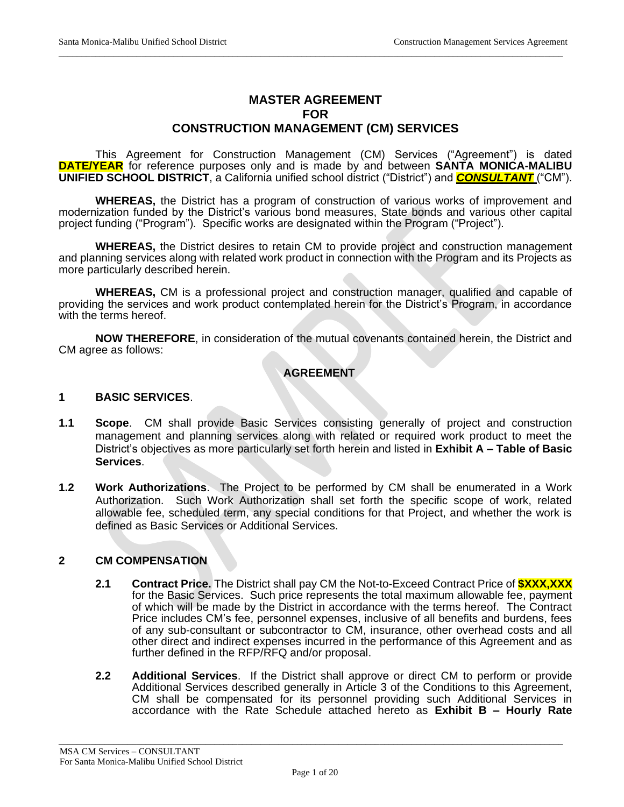# **MASTER AGREEMENT FOR CONSTRUCTION MANAGEMENT (CM) SERVICES**

\_\_\_\_\_\_\_\_\_\_\_\_\_\_\_\_\_\_\_\_\_\_\_\_\_\_\_\_\_\_\_\_\_\_\_\_\_\_\_\_\_\_\_\_\_\_\_\_\_\_\_\_\_\_\_\_\_\_\_\_\_\_\_\_\_\_\_\_\_\_\_\_\_\_\_\_\_\_\_\_\_\_\_\_\_\_\_\_\_\_\_\_\_\_\_\_\_\_\_\_\_\_\_\_\_\_\_\_\_\_

This Agreement for Construction Management (CM) Services ("Agreement") is dated **DATE/YEAR** for reference purposes only and is made by and between **SANTA MONICA-MALIBU UNIFIED SCHOOL DISTRICT**, a California unified school district ("District") and **CONSULTANT** ("CM").

**WHEREAS,** the District has a program of construction of various works of improvement and modernization funded by the District's various bond measures, State bonds and various other capital project funding ("Program"). Specific works are designated within the Program ("Project").

**WHEREAS,** the District desires to retain CM to provide project and construction management and planning services along with related work product in connection with the Program and its Projects as more particularly described herein.

**WHEREAS,** CM is a professional project and construction manager, qualified and capable of providing the services and work product contemplated herein for the District's Program, in accordance with the terms hereof.

**NOW THEREFORE**, in consideration of the mutual covenants contained herein, the District and CM agree as follows:

## **AGREEMENT**

#### **1 BASIC SERVICES**.

- **1.1 Scope**. CM shall provide Basic Services consisting generally of project and construction management and planning services along with related or required work product to meet the District's objectives as more particularly set forth herein and listed in **Exhibit A – Table of Basic Services**.
- **1.2 Work Authorizations**. The Project to be performed by CM shall be enumerated in a Work Authorization. Such Work Authorization shall set forth the specific scope of work, related allowable fee, scheduled term, any special conditions for that Project, and whether the work is defined as Basic Services or Additional Services.

#### **2 CM COMPENSATION**

- **2.1 Contract Price.** The District shall pay CM the Not-to-Exceed Contract Price of **\$XXX,XXX** for the Basic Services. Such price represents the total maximum allowable fee, payment of which will be made by the District in accordance with the terms hereof. The Contract Price includes CM's fee, personnel expenses, inclusive of all benefits and burdens, fees of any sub-consultant or subcontractor to CM, insurance, other overhead costs and all other direct and indirect expenses incurred in the performance of this Agreement and as further defined in the RFP/RFQ and/or proposal.
- **2.2 Additional Services**. If the District shall approve or direct CM to perform or provide Additional Services described generally in Article 3 of the Conditions to this Agreement, CM shall be compensated for its personnel providing such Additional Services in accordance with the Rate Schedule attached hereto as **Exhibit B – Hourly Rate**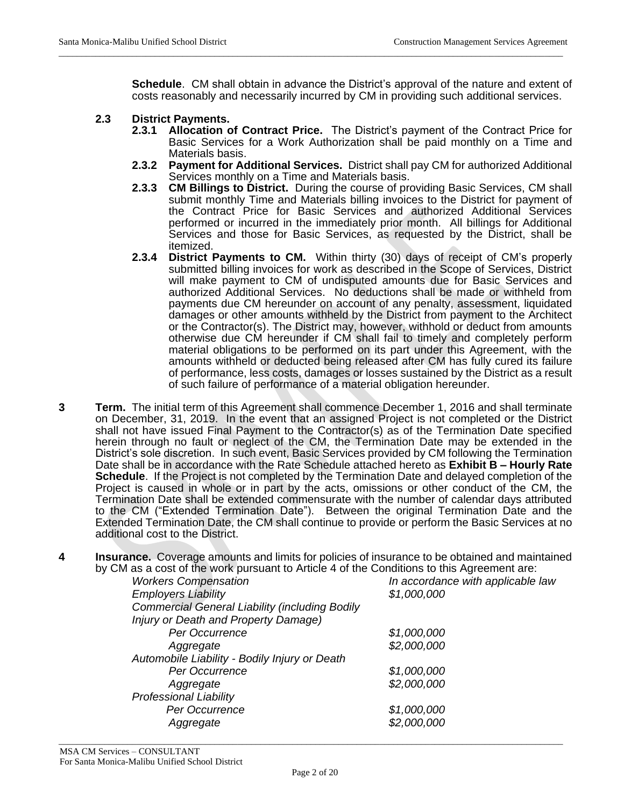**Schedule**. CM shall obtain in advance the District's approval of the nature and extent of costs reasonably and necessarily incurred by CM in providing such additional services.

\_\_\_\_\_\_\_\_\_\_\_\_\_\_\_\_\_\_\_\_\_\_\_\_\_\_\_\_\_\_\_\_\_\_\_\_\_\_\_\_\_\_\_\_\_\_\_\_\_\_\_\_\_\_\_\_\_\_\_\_\_\_\_\_\_\_\_\_\_\_\_\_\_\_\_\_\_\_\_\_\_\_\_\_\_\_\_\_\_\_\_\_\_\_\_\_\_\_\_\_\_\_\_\_\_\_\_\_\_\_

#### **2.3 District Payments.**

- **2.3.1 Allocation of Contract Price.** The District's payment of the Contract Price for Basic Services for a Work Authorization shall be paid monthly on a Time and Materials basis.
- **2.3.2 Payment for Additional Services.** District shall pay CM for authorized Additional Services monthly on a Time and Materials basis.
- **2.3.3 CM Billings to District.** During the course of providing Basic Services, CM shall submit monthly Time and Materials billing invoices to the District for payment of the Contract Price for Basic Services and authorized Additional Services performed or incurred in the immediately prior month. All billings for Additional Services and those for Basic Services, as requested by the District, shall be itemized.
- **2.3.4 District Payments to CM.** Within thirty (30) days of receipt of CM's properly submitted billing invoices for work as described in the Scope of Services, District will make payment to CM of undisputed amounts due for Basic Services and authorized Additional Services. No deductions shall be made or withheld from payments due CM hereunder on account of any penalty, assessment, liquidated damages or other amounts withheld by the District from payment to the Architect or the Contractor(s). The District may, however, withhold or deduct from amounts otherwise due CM hereunder if CM shall fail to timely and completely perform material obligations to be performed on its part under this Agreement, with the amounts withheld or deducted being released after CM has fully cured its failure of performance, less costs, damages or losses sustained by the District as a result of such failure of performance of a material obligation hereunder.
- **3 Term.** The initial term of this Agreement shall commence December 1, 2016 and shall terminate on December, 31, 2019. In the event that an assigned Project is not completed or the District shall not have issued Final Payment to the Contractor(s) as of the Termination Date specified herein through no fault or neglect of the CM, the Termination Date may be extended in the District's sole discretion. In such event, Basic Services provided by CM following the Termination Date shall be in accordance with the Rate Schedule attached hereto as **Exhibit B – Hourly Rate Schedule**. If the Project is not completed by the Termination Date and delayed completion of the Project is caused in whole or in part by the acts, omissions or other conduct of the CM, the Termination Date shall be extended commensurate with the number of calendar days attributed to the CM ("Extended Termination Date"). Between the original Termination Date and the Extended Termination Date, the CM shall continue to provide or perform the Basic Services at no additional cost to the District.
- **4 Insurance.** Coverage amounts and limits for policies of insurance to be obtained and maintained by CM as a cost of the work pursuant to Article 4 of the Conditions to this Agreement are:

| <b>Workers Compensation</b>                           | In accordance with applicable law |
|-------------------------------------------------------|-----------------------------------|
| <b>Employers Liability</b>                            | \$1,000,000                       |
| <b>Commercial General Liability (including Bodily</b> |                                   |
| Injury or Death and Property Damage)                  |                                   |
| Per Occurrence                                        | \$1,000,000                       |
| Aggregate                                             | \$2,000,000                       |
| Automobile Liability - Bodily Injury or Death         |                                   |
| Per Occurrence                                        | \$1,000,000                       |
| Aggregate                                             | \$2,000,000                       |
| <b>Professional Liability</b>                         |                                   |
| Per Occurrence                                        | \$1,000,000                       |
| Aggregate                                             | \$2,000,000                       |
|                                                       |                                   |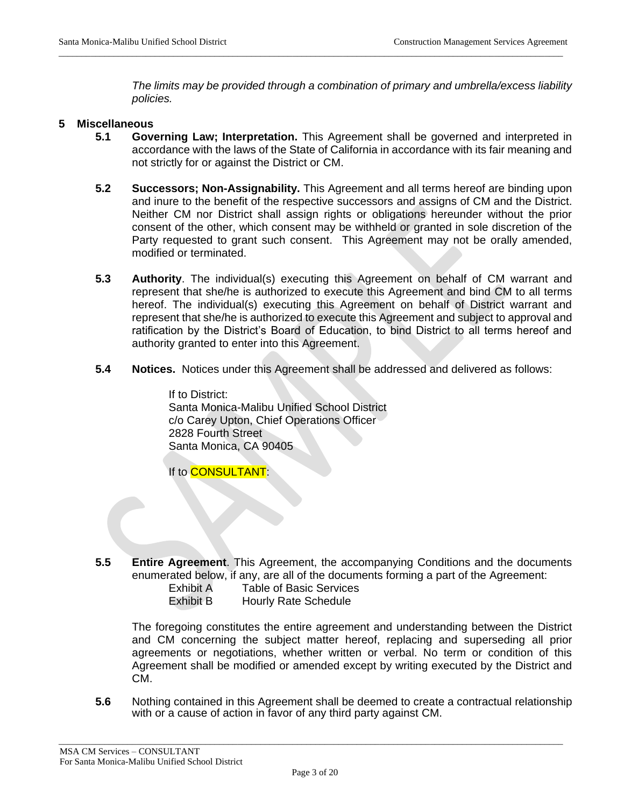*The limits may be provided through a combination of primary and umbrella/excess liability policies.*

#### **5 Miscellaneous**

**5.1 Governing Law; Interpretation.** This Agreement shall be governed and interpreted in accordance with the laws of the State of California in accordance with its fair meaning and not strictly for or against the District or CM.

\_\_\_\_\_\_\_\_\_\_\_\_\_\_\_\_\_\_\_\_\_\_\_\_\_\_\_\_\_\_\_\_\_\_\_\_\_\_\_\_\_\_\_\_\_\_\_\_\_\_\_\_\_\_\_\_\_\_\_\_\_\_\_\_\_\_\_\_\_\_\_\_\_\_\_\_\_\_\_\_\_\_\_\_\_\_\_\_\_\_\_\_\_\_\_\_\_\_\_\_\_\_\_\_\_\_\_\_\_\_

- **5.2 Successors; Non-Assignability.** This Agreement and all terms hereof are binding upon and inure to the benefit of the respective successors and assigns of CM and the District. Neither CM nor District shall assign rights or obligations hereunder without the prior consent of the other, which consent may be withheld or granted in sole discretion of the Party requested to grant such consent. This Agreement may not be orally amended, modified or terminated.
- **5.3 Authority**. The individual(s) executing this Agreement on behalf of CM warrant and represent that she/he is authorized to execute this Agreement and bind CM to all terms hereof. The individual(s) executing this Agreement on behalf of District warrant and represent that she/he is authorized to execute this Agreement and subject to approval and ratification by the District's Board of Education, to bind District to all terms hereof and authority granted to enter into this Agreement.
- **5.4 Notices.** Notices under this Agreement shall be addressed and delivered as follows:

If to District: Santa Monica-Malibu Unified School District c/o Carey Upton, Chief Operations Officer 2828 Fourth Street Santa Monica, CA 90405

If to **CONSULTANT**:

**5.5 Entire Agreement**. This Agreement, the accompanying Conditions and the documents enumerated below, if any, are all of the documents forming a part of the Agreement:

Exhibit A Table of Basic Services Exhibit B Hourly Rate Schedule

The foregoing constitutes the entire agreement and understanding between the District and CM concerning the subject matter hereof, replacing and superseding all prior agreements or negotiations, whether written or verbal. No term or condition of this Agreement shall be modified or amended except by writing executed by the District and CM.

**5.6** Nothing contained in this Agreement shall be deemed to create a contractual relationship with or a cause of action in favor of any third party against CM.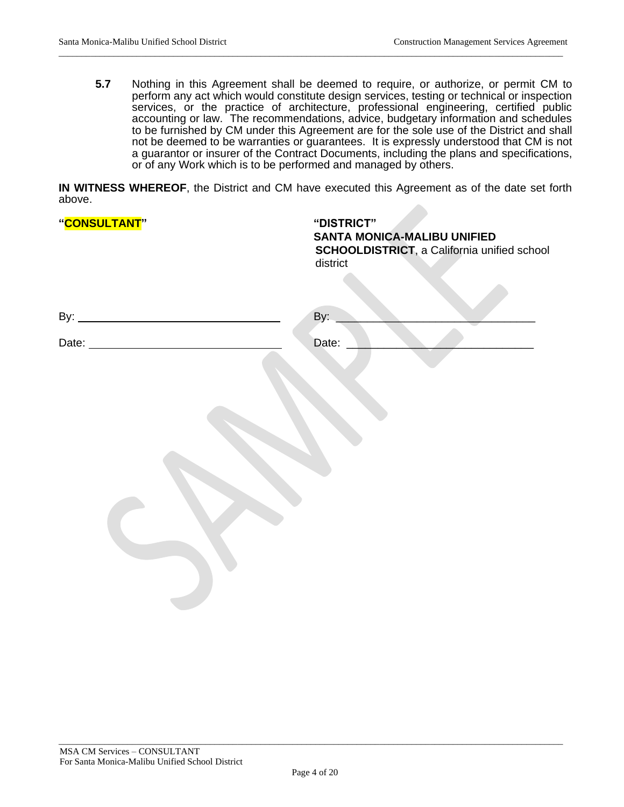**5.7** Nothing in this Agreement shall be deemed to require, or authorize, or permit CM to perform any act which would constitute design services, testing or technical or inspection services, or the practice of architecture, professional engineering, certified public accounting or law. The recommendations, advice, budgetary information and schedules to be furnished by CM under this Agreement are for the sole use of the District and shall not be deemed to be warranties or guarantees. It is expressly understood that CM is not a guarantor or insurer of the Contract Documents, including the plans and specifications, or of any Work which is to be performed and managed by others.

**IN WITNESS WHEREOF**, the District and CM have executed this Agreement as of the date set forth above. 

\_\_\_\_\_\_\_\_\_\_\_\_\_\_\_\_\_\_\_\_\_\_\_\_\_\_\_\_\_\_\_\_\_\_\_\_\_\_\_\_\_\_\_\_\_\_\_\_\_\_\_\_\_\_\_\_\_\_\_\_\_\_\_\_\_\_\_\_\_\_\_\_\_\_\_\_\_\_\_\_\_\_\_\_\_\_\_\_\_\_\_\_\_\_\_\_\_\_\_\_\_\_\_\_\_\_\_\_\_\_

| "CONSULTANT" | "DISTRICT"<br><b>SANTA MONICA-MALIBU UNIFIED</b><br>SCHOOLDISTRICT, a California unified school<br>district |
|--------------|-------------------------------------------------------------------------------------------------------------|
|              | By:                                                                                                         |
|              | Date:                                                                                                       |
|              |                                                                                                             |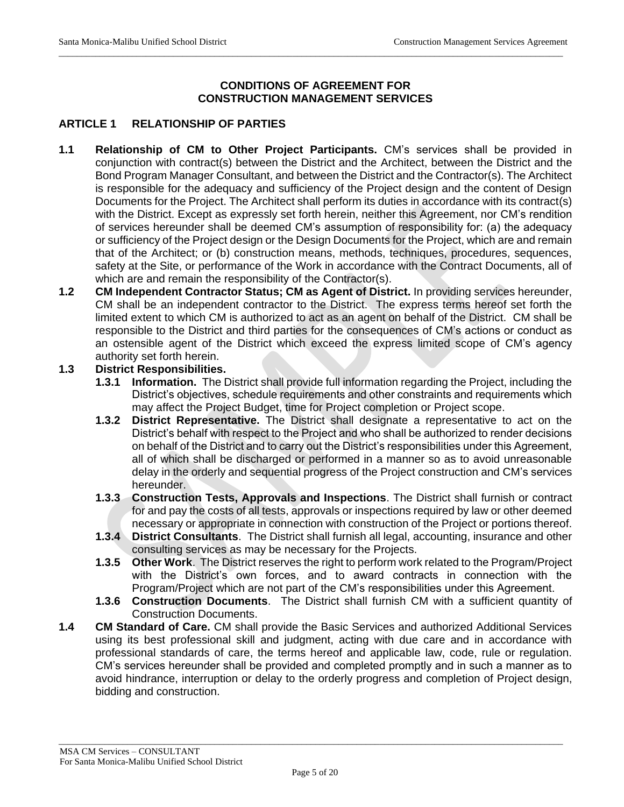### **CONDITIONS OF AGREEMENT FOR CONSTRUCTION MANAGEMENT SERVICES**

\_\_\_\_\_\_\_\_\_\_\_\_\_\_\_\_\_\_\_\_\_\_\_\_\_\_\_\_\_\_\_\_\_\_\_\_\_\_\_\_\_\_\_\_\_\_\_\_\_\_\_\_\_\_\_\_\_\_\_\_\_\_\_\_\_\_\_\_\_\_\_\_\_\_\_\_\_\_\_\_\_\_\_\_\_\_\_\_\_\_\_\_\_\_\_\_\_\_\_\_\_\_\_\_\_\_\_\_\_\_

### **ARTICLE 1 RELATIONSHIP OF PARTIES**

- **1.1 Relationship of CM to Other Project Participants.** CM's services shall be provided in conjunction with contract(s) between the District and the Architect, between the District and the Bond Program Manager Consultant, and between the District and the Contractor(s). The Architect is responsible for the adequacy and sufficiency of the Project design and the content of Design Documents for the Project. The Architect shall perform its duties in accordance with its contract(s) with the District. Except as expressly set forth herein, neither this Agreement, nor CM's rendition of services hereunder shall be deemed CM's assumption of responsibility for: (a) the adequacy or sufficiency of the Project design or the Design Documents for the Project, which are and remain that of the Architect; or (b) construction means, methods, techniques, procedures, sequences, safety at the Site, or performance of the Work in accordance with the Contract Documents, all of which are and remain the responsibility of the Contractor(s).
- **1.2 CM Independent Contractor Status; CM as Agent of District.** In providing services hereunder, CM shall be an independent contractor to the District. The express terms hereof set forth the limited extent to which CM is authorized to act as an agent on behalf of the District. CM shall be responsible to the District and third parties for the consequences of CM's actions or conduct as an ostensible agent of the District which exceed the express limited scope of CM's agency authority set forth herein.

#### **1.3 District Responsibilities.**

- **1.3.1 Information.** The District shall provide full information regarding the Project, including the District's objectives, schedule requirements and other constraints and requirements which may affect the Project Budget, time for Project completion or Project scope.
- **1.3.2 District Representative.** The District shall designate a representative to act on the District's behalf with respect to the Project and who shall be authorized to render decisions on behalf of the District and to carry out the District's responsibilities under this Agreement, all of which shall be discharged or performed in a manner so as to avoid unreasonable delay in the orderly and sequential progress of the Project construction and CM's services hereunder.
- **1.3.3 Construction Tests, Approvals and Inspections**. The District shall furnish or contract for and pay the costs of all tests, approvals or inspections required by law or other deemed necessary or appropriate in connection with construction of the Project or portions thereof.
- **1.3.4 District Consultants**. The District shall furnish all legal, accounting, insurance and other consulting services as may be necessary for the Projects.
- **1.3.5 Other Work**. The District reserves the right to perform work related to the Program/Project with the District's own forces, and to award contracts in connection with the Program/Project which are not part of the CM's responsibilities under this Agreement.
- **1.3.6 Construction Documents**. The District shall furnish CM with a sufficient quantity of Construction Documents.
- **1.4 CM Standard of Care.** CM shall provide the Basic Services and authorized Additional Services using its best professional skill and judgment, acting with due care and in accordance with professional standards of care, the terms hereof and applicable law, code, rule or regulation. CM's services hereunder shall be provided and completed promptly and in such a manner as to avoid hindrance, interruption or delay to the orderly progress and completion of Project design, bidding and construction.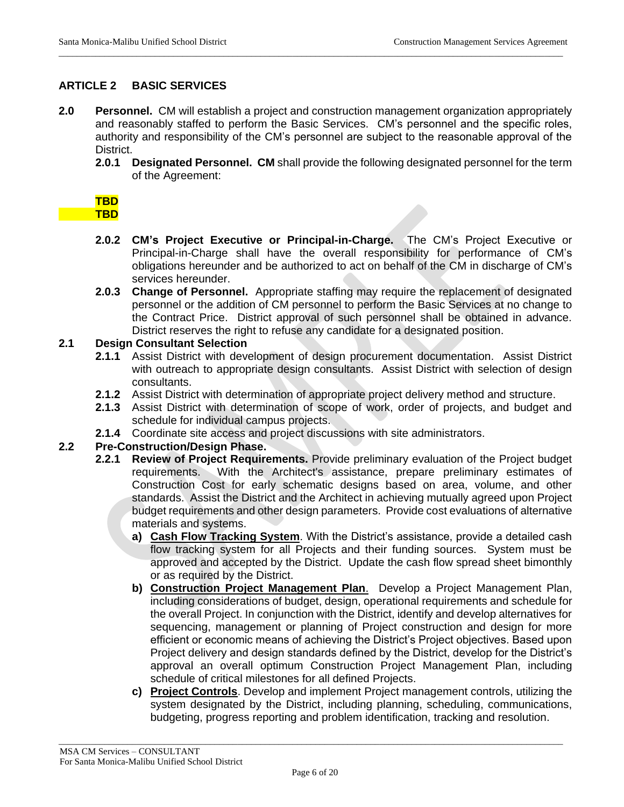### **ARTICLE 2 BASIC SERVICES**

**2.0 Personnel.** CM will establish a project and construction management organization appropriately and reasonably staffed to perform the Basic Services. CM's personnel and the specific roles, authority and responsibility of the CM's personnel are subject to the reasonable approval of the District.

\_\_\_\_\_\_\_\_\_\_\_\_\_\_\_\_\_\_\_\_\_\_\_\_\_\_\_\_\_\_\_\_\_\_\_\_\_\_\_\_\_\_\_\_\_\_\_\_\_\_\_\_\_\_\_\_\_\_\_\_\_\_\_\_\_\_\_\_\_\_\_\_\_\_\_\_\_\_\_\_\_\_\_\_\_\_\_\_\_\_\_\_\_\_\_\_\_\_\_\_\_\_\_\_\_\_\_\_\_\_

**2.0.1 Designated Personnel. CM** shall provide the following designated personnel for the term of the Agreement:

| <b>Contract Contract Contract Contract Contract Contract Contract Contract Contract Contract Contract Contract Co</b> | $\mathcal{L}^{\text{max}}_{\text{max}}$ and $\mathcal{L}^{\text{max}}_{\text{max}}$ and $\mathcal{L}^{\text{max}}_{\text{max}}$ | and the state of the state of the state of the state of the state of the state of the state of the state of th        |
|-----------------------------------------------------------------------------------------------------------------------|---------------------------------------------------------------------------------------------------------------------------------|-----------------------------------------------------------------------------------------------------------------------|
| and the state of the state of the state of the state of the state of the state of the state of the state of th        | and the state of the state of the state of the state of the state of the state of the state of the state of th                  | <b>Contract Contract Contract Contract Contract Contract Contract Contract Contract Contract Contract Contract Co</b> |
| <b>Contract Contract Contract Contract Contract Contract Contract Contract Contract Contract Contract Contract Co</b> | $\mathcal{L}^{\text{max}}_{\text{max}}$ and $\mathcal{L}^{\text{max}}_{\text{max}}$ and $\mathcal{L}^{\text{max}}_{\text{max}}$ | and the state of the state of the state of the state of the state of the state of the state of the state of th        |

- **2.0.2 CM's Project Executive or Principal-in-Charge.** The CM's Project Executive or Principal-in-Charge shall have the overall responsibility for performance of CM's obligations hereunder and be authorized to act on behalf of the CM in discharge of CM's services hereunder.
- **2.0.3 Change of Personnel.** Appropriate staffing may require the replacement of designated personnel or the addition of CM personnel to perform the Basic Services at no change to the Contract Price. District approval of such personnel shall be obtained in advance. District reserves the right to refuse any candidate for a designated position.

#### **2.1 Design Consultant Selection**

- **2.1.1** Assist District with development of design procurement documentation. Assist District with outreach to appropriate design consultants. Assist District with selection of design consultants.
- **2.1.2** Assist District with determination of appropriate project delivery method and structure.
- **2.1.3** Assist District with determination of scope of work, order of projects, and budget and schedule for individual campus projects.
- **2.1.4** Coordinate site access and project discussions with site administrators.

#### **2.2 Pre-Construction/Design Phase.**

- **2.2.1 Review of Project Requirements.** Provide preliminary evaluation of the Project budget requirements. With the Architect's assistance, prepare preliminary estimates of Construction Cost for early schematic designs based on area, volume, and other standards. Assist the District and the Architect in achieving mutually agreed upon Project budget requirements and other design parameters. Provide cost evaluations of alternative materials and systems.
	- **a) Cash Flow Tracking System**. With the District's assistance, provide a detailed cash flow tracking system for all Projects and their funding sources. System must be approved and accepted by the District. Update the cash flow spread sheet bimonthly or as required by the District.
	- **b) Construction Project Management Plan**. Develop a Project Management Plan, including considerations of budget, design, operational requirements and schedule for the overall Project. In conjunction with the District, identify and develop alternatives for sequencing, management or planning of Project construction and design for more efficient or economic means of achieving the District's Project objectives. Based upon Project delivery and design standards defined by the District, develop for the District's approval an overall optimum Construction Project Management Plan, including schedule of critical milestones for all defined Projects.
	- **c) Project Controls**. Develop and implement Project management controls, utilizing the system designated by the District, including planning, scheduling, communications, budgeting, progress reporting and problem identification, tracking and resolution.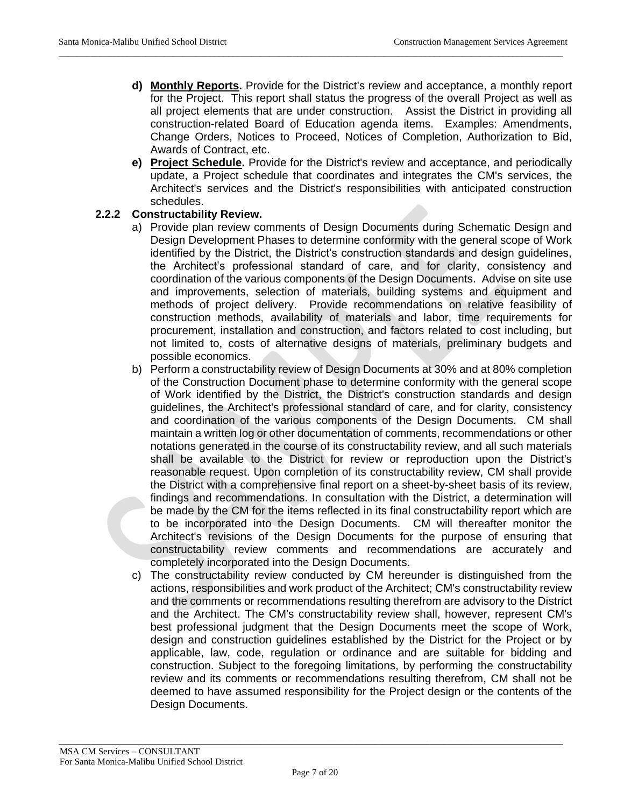**d) Monthly Reports.** Provide for the District's review and acceptance, a monthly report for the Project. This report shall status the progress of the overall Project as well as all project elements that are under construction. Assist the District in providing all construction-related Board of Education agenda items. Examples: Amendments, Change Orders, Notices to Proceed, Notices of Completion, Authorization to Bid, Awards of Contract, etc.

\_\_\_\_\_\_\_\_\_\_\_\_\_\_\_\_\_\_\_\_\_\_\_\_\_\_\_\_\_\_\_\_\_\_\_\_\_\_\_\_\_\_\_\_\_\_\_\_\_\_\_\_\_\_\_\_\_\_\_\_\_\_\_\_\_\_\_\_\_\_\_\_\_\_\_\_\_\_\_\_\_\_\_\_\_\_\_\_\_\_\_\_\_\_\_\_\_\_\_\_\_\_\_\_\_\_\_\_\_\_

**e) Project Schedule.** Provide for the District's review and acceptance, and periodically update, a Project schedule that coordinates and integrates the CM's services, the Architect's services and the District's responsibilities with anticipated construction schedules.

#### **2.2.2 Constructability Review.**

- a) Provide plan review comments of Design Documents during Schematic Design and Design Development Phases to determine conformity with the general scope of Work identified by the District, the District's construction standards and design guidelines, the Architect's professional standard of care, and for clarity, consistency and coordination of the various components of the Design Documents. Advise on site use and improvements, selection of materials, building systems and equipment and methods of project delivery. Provide recommendations on relative feasibility of construction methods, availability of materials and labor, time requirements for procurement, installation and construction, and factors related to cost including, but not limited to, costs of alternative designs of materials, preliminary budgets and possible economics.
- b) Perform a constructability review of Design Documents at 30% and at 80% completion of the Construction Document phase to determine conformity with the general scope of Work identified by the District, the District's construction standards and design guidelines, the Architect's professional standard of care, and for clarity, consistency and coordination of the various components of the Design Documents. CM shall maintain a written log or other documentation of comments, recommendations or other notations generated in the course of its constructability review, and all such materials shall be available to the District for review or reproduction upon the District's reasonable request. Upon completion of its constructability review, CM shall provide the District with a comprehensive final report on a sheet-by-sheet basis of its review, findings and recommendations. In consultation with the District, a determination will be made by the CM for the items reflected in its final constructability report which are to be incorporated into the Design Documents. CM will thereafter monitor the Architect's revisions of the Design Documents for the purpose of ensuring that constructability review comments and recommendations are accurately and completely incorporated into the Design Documents.
- c) The constructability review conducted by CM hereunder is distinguished from the actions, responsibilities and work product of the Architect; CM's constructability review and the comments or recommendations resulting therefrom are advisory to the District and the Architect. The CM's constructability review shall, however, represent CM's best professional judgment that the Design Documents meet the scope of Work, design and construction guidelines established by the District for the Project or by applicable, law, code, regulation or ordinance and are suitable for bidding and construction. Subject to the foregoing limitations, by performing the constructability review and its comments or recommendations resulting therefrom, CM shall not be deemed to have assumed responsibility for the Project design or the contents of the Design Documents.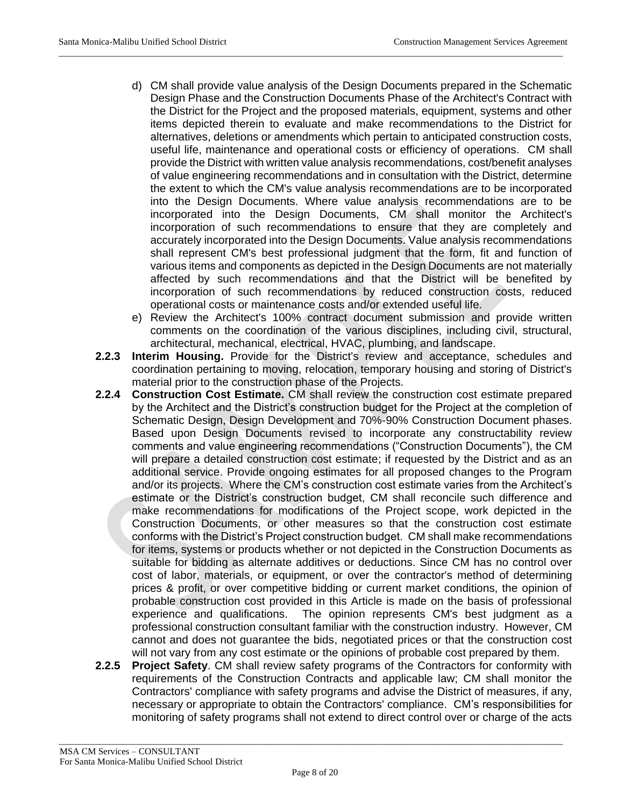d) CM shall provide value analysis of the Design Documents prepared in the Schematic Design Phase and the Construction Documents Phase of the Architect's Contract with the District for the Project and the proposed materials, equipment, systems and other items depicted therein to evaluate and make recommendations to the District for alternatives, deletions or amendments which pertain to anticipated construction costs, useful life, maintenance and operational costs or efficiency of operations. CM shall provide the District with written value analysis recommendations, cost/benefit analyses of value engineering recommendations and in consultation with the District, determine the extent to which the CM's value analysis recommendations are to be incorporated into the Design Documents. Where value analysis recommendations are to be incorporated into the Design Documents, CM shall monitor the Architect's incorporation of such recommendations to ensure that they are completely and accurately incorporated into the Design Documents. Value analysis recommendations shall represent CM's best professional judgment that the form, fit and function of various items and components as depicted in the Design Documents are not materially affected by such recommendations and that the District will be benefited by incorporation of such recommendations by reduced construction costs, reduced operational costs or maintenance costs and/or extended useful life.

\_\_\_\_\_\_\_\_\_\_\_\_\_\_\_\_\_\_\_\_\_\_\_\_\_\_\_\_\_\_\_\_\_\_\_\_\_\_\_\_\_\_\_\_\_\_\_\_\_\_\_\_\_\_\_\_\_\_\_\_\_\_\_\_\_\_\_\_\_\_\_\_\_\_\_\_\_\_\_\_\_\_\_\_\_\_\_\_\_\_\_\_\_\_\_\_\_\_\_\_\_\_\_\_\_\_\_\_\_\_

- e) Review the Architect's 100% contract document submission and provide written comments on the coordination of the various disciplines, including civil, structural, architectural, mechanical, electrical, HVAC, plumbing, and landscape.
- **2.2.3 Interim Housing.** Provide for the District's review and acceptance, schedules and coordination pertaining to moving, relocation, temporary housing and storing of District's material prior to the construction phase of the Projects.
- **2.2.4 Construction Cost Estimate.** CM shall review the construction cost estimate prepared by the Architect and the District's construction budget for the Project at the completion of Schematic Design, Design Development and 70%-90% Construction Document phases. Based upon Design Documents revised to incorporate any constructability review comments and value engineering recommendations ("Construction Documents"), the CM will prepare a detailed construction cost estimate; if requested by the District and as an additional service. Provide ongoing estimates for all proposed changes to the Program and/or its projects. Where the CM's construction cost estimate varies from the Architect's estimate or the District's construction budget, CM shall reconcile such difference and make recommendations for modifications of the Project scope, work depicted in the Construction Documents, or other measures so that the construction cost estimate conforms with the District's Project construction budget. CM shall make recommendations for items, systems or products whether or not depicted in the Construction Documents as suitable for bidding as alternate additives or deductions. Since CM has no control over cost of labor, materials, or equipment, or over the contractor's method of determining prices & profit, or over competitive bidding or current market conditions, the opinion of probable construction cost provided in this Article is made on the basis of professional experience and qualifications. The opinion represents CM's best judgment as a professional construction consultant familiar with the construction industry. However, CM cannot and does not guarantee the bids, negotiated prices or that the construction cost will not vary from any cost estimate or the opinions of probable cost prepared by them.
- **2.2.5 Project Safety**. CM shall review safety programs of the Contractors for conformity with requirements of the Construction Contracts and applicable law; CM shall monitor the Contractors' compliance with safety programs and advise the District of measures, if any, necessary or appropriate to obtain the Contractors' compliance. CM's responsibilities for monitoring of safety programs shall not extend to direct control over or charge of the acts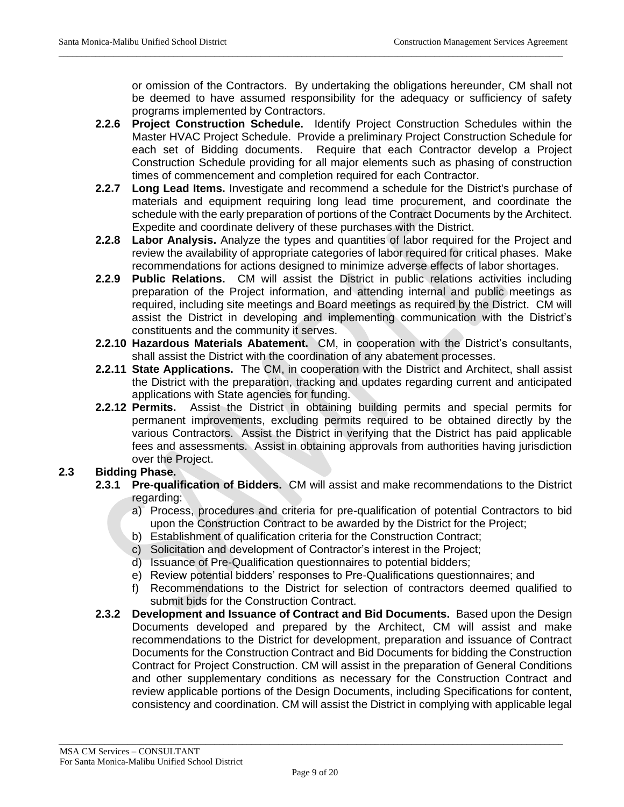or omission of the Contractors. By undertaking the obligations hereunder, CM shall not be deemed to have assumed responsibility for the adequacy or sufficiency of safety programs implemented by Contractors.

**2.2.6 Project Construction Schedule.** Identify Project Construction Schedules within the Master HVAC Project Schedule. Provide a preliminary Project Construction Schedule for each set of Bidding documents. Require that each Contractor develop a Project Construction Schedule providing for all major elements such as phasing of construction times of commencement and completion required for each Contractor.

\_\_\_\_\_\_\_\_\_\_\_\_\_\_\_\_\_\_\_\_\_\_\_\_\_\_\_\_\_\_\_\_\_\_\_\_\_\_\_\_\_\_\_\_\_\_\_\_\_\_\_\_\_\_\_\_\_\_\_\_\_\_\_\_\_\_\_\_\_\_\_\_\_\_\_\_\_\_\_\_\_\_\_\_\_\_\_\_\_\_\_\_\_\_\_\_\_\_\_\_\_\_\_\_\_\_\_\_\_\_

- **2.2.7 Long Lead Items.** Investigate and recommend a schedule for the District's purchase of materials and equipment requiring long lead time procurement, and coordinate the schedule with the early preparation of portions of the Contract Documents by the Architect. Expedite and coordinate delivery of these purchases with the District.
- **2.2.8 Labor Analysis.** Analyze the types and quantities of labor required for the Project and review the availability of appropriate categories of labor required for critical phases. Make recommendations for actions designed to minimize adverse effects of labor shortages.
- **2.2.9 Public Relations.** CM will assist the District in public relations activities including preparation of the Project information, and attending internal and public meetings as required, including site meetings and Board meetings as required by the District. CM will assist the District in developing and implementing communication with the District's constituents and the community it serves.
- **2.2.10 Hazardous Materials Abatement.** CM, in cooperation with the District's consultants, shall assist the District with the coordination of any abatement processes.
- **2.2.11 State Applications.** The CM, in cooperation with the District and Architect, shall assist the District with the preparation, tracking and updates regarding current and anticipated applications with State agencies for funding.
- **2.2.12 Permits.** Assist the District in obtaining building permits and special permits for permanent improvements, excluding permits required to be obtained directly by the various Contractors. Assist the District in verifying that the District has paid applicable fees and assessments. Assist in obtaining approvals from authorities having jurisdiction over the Project.

# **2.3 Bidding Phase.**

- **2.3.1 Pre-qualification of Bidders.** CM will assist and make recommendations to the District regarding:
	- a) Process, procedures and criteria for pre-qualification of potential Contractors to bid upon the Construction Contract to be awarded by the District for the Project;
	- b) Establishment of qualification criteria for the Construction Contract;
	- c) Solicitation and development of Contractor's interest in the Project;
	- d) Issuance of Pre-Qualification questionnaires to potential bidders;
	- e) Review potential bidders' responses to Pre-Qualifications questionnaires; and
	- f) Recommendations to the District for selection of contractors deemed qualified to submit bids for the Construction Contract.
- **2.3.2 Development and Issuance of Contract and Bid Documents.** Based upon the Design Documents developed and prepared by the Architect, CM will assist and make recommendations to the District for development, preparation and issuance of Contract Documents for the Construction Contract and Bid Documents for bidding the Construction Contract for Project Construction. CM will assist in the preparation of General Conditions and other supplementary conditions as necessary for the Construction Contract and review applicable portions of the Design Documents, including Specifications for content, consistency and coordination. CM will assist the District in complying with applicable legal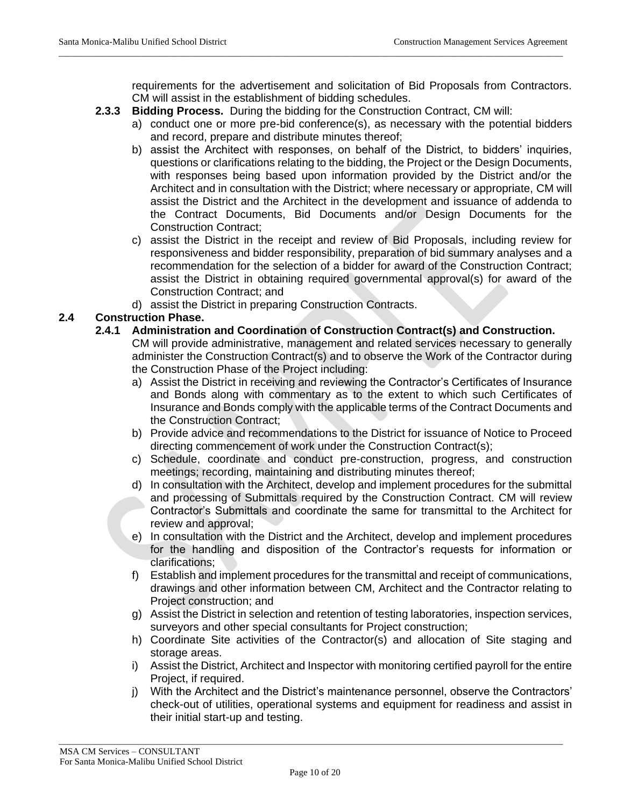requirements for the advertisement and solicitation of Bid Proposals from Contractors. CM will assist in the establishment of bidding schedules.

**2.3.3 Bidding Process.** During the bidding for the Construction Contract, CM will:

\_\_\_\_\_\_\_\_\_\_\_\_\_\_\_\_\_\_\_\_\_\_\_\_\_\_\_\_\_\_\_\_\_\_\_\_\_\_\_\_\_\_\_\_\_\_\_\_\_\_\_\_\_\_\_\_\_\_\_\_\_\_\_\_\_\_\_\_\_\_\_\_\_\_\_\_\_\_\_\_\_\_\_\_\_\_\_\_\_\_\_\_\_\_\_\_\_\_\_\_\_\_\_\_\_\_\_\_\_\_

- a) conduct one or more pre-bid conference(s), as necessary with the potential bidders and record, prepare and distribute minutes thereof;
- b) assist the Architect with responses, on behalf of the District, to bidders' inquiries, questions or clarifications relating to the bidding, the Project or the Design Documents, with responses being based upon information provided by the District and/or the Architect and in consultation with the District; where necessary or appropriate, CM will assist the District and the Architect in the development and issuance of addenda to the Contract Documents, Bid Documents and/or Design Documents for the Construction Contract;
- c) assist the District in the receipt and review of Bid Proposals, including review for responsiveness and bidder responsibility, preparation of bid summary analyses and a recommendation for the selection of a bidder for award of the Construction Contract; assist the District in obtaining required governmental approval(s) for award of the Construction Contract; and
- d) assist the District in preparing Construction Contracts.

### **2.4 Construction Phase.**

- **2.4.1 Administration and Coordination of Construction Contract(s) and Construction.** CM will provide administrative, management and related services necessary to generally administer the Construction Contract(s) and to observe the Work of the Contractor during the Construction Phase of the Project including:
	- a) Assist the District in receiving and reviewing the Contractor's Certificates of Insurance and Bonds along with commentary as to the extent to which such Certificates of Insurance and Bonds comply with the applicable terms of the Contract Documents and the Construction Contract;
	- b) Provide advice and recommendations to the District for issuance of Notice to Proceed directing commencement of work under the Construction Contract(s);
	- c) Schedule, coordinate and conduct pre-construction, progress, and construction meetings; recording, maintaining and distributing minutes thereof;
	- d) In consultation with the Architect, develop and implement procedures for the submittal and processing of Submittals required by the Construction Contract. CM will review Contractor's Submittals and coordinate the same for transmittal to the Architect for review and approval;
	- e) In consultation with the District and the Architect, develop and implement procedures for the handling and disposition of the Contractor's requests for information or clarifications;
	- f) Establish and implement procedures for the transmittal and receipt of communications, drawings and other information between CM, Architect and the Contractor relating to Project construction; and
	- g) Assist the District in selection and retention of testing laboratories, inspection services, surveyors and other special consultants for Project construction;
	- h) Coordinate Site activities of the Contractor(s) and allocation of Site staging and storage areas.
	- i) Assist the District, Architect and Inspector with monitoring certified payroll for the entire Project, if required.
	- j) With the Architect and the District's maintenance personnel, observe the Contractors' check-out of utilities, operational systems and equipment for readiness and assist in their initial start-up and testing.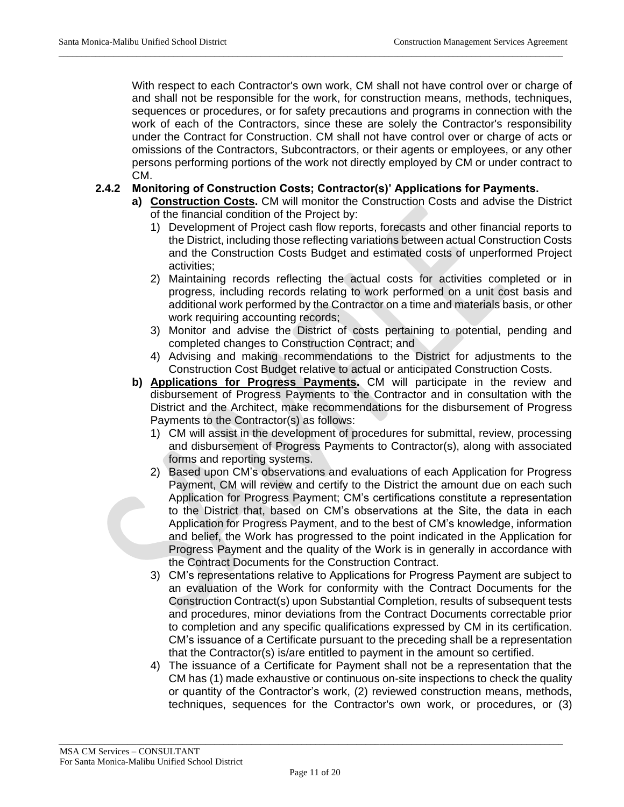With respect to each Contractor's own work, CM shall not have control over or charge of and shall not be responsible for the work, for construction means, methods, techniques, sequences or procedures, or for safety precautions and programs in connection with the work of each of the Contractors, since these are solely the Contractor's responsibility under the Contract for Construction. CM shall not have control over or charge of acts or omissions of the Contractors, Subcontractors, or their agents or employees, or any other persons performing portions of the work not directly employed by CM or under contract to CM.

### **2.4.2 Monitoring of Construction Costs; Contractor(s)' Applications for Payments.**

\_\_\_\_\_\_\_\_\_\_\_\_\_\_\_\_\_\_\_\_\_\_\_\_\_\_\_\_\_\_\_\_\_\_\_\_\_\_\_\_\_\_\_\_\_\_\_\_\_\_\_\_\_\_\_\_\_\_\_\_\_\_\_\_\_\_\_\_\_\_\_\_\_\_\_\_\_\_\_\_\_\_\_\_\_\_\_\_\_\_\_\_\_\_\_\_\_\_\_\_\_\_\_\_\_\_\_\_\_\_

- **a) Construction Costs.** CM will monitor the Construction Costs and advise the District of the financial condition of the Project by:
	- 1) Development of Project cash flow reports, forecasts and other financial reports to the District, including those reflecting variations between actual Construction Costs and the Construction Costs Budget and estimated costs of unperformed Project activities;
	- 2) Maintaining records reflecting the actual costs for activities completed or in progress, including records relating to work performed on a unit cost basis and additional work performed by the Contractor on a time and materials basis, or other work requiring accounting records;
	- 3) Monitor and advise the District of costs pertaining to potential, pending and completed changes to Construction Contract; and
	- 4) Advising and making recommendations to the District for adjustments to the Construction Cost Budget relative to actual or anticipated Construction Costs.
- **b) Applications for Progress Payments.** CM will participate in the review and disbursement of Progress Payments to the Contractor and in consultation with the District and the Architect, make recommendations for the disbursement of Progress Payments to the Contractor(s) as follows:
	- 1) CM will assist in the development of procedures for submittal, review, processing and disbursement of Progress Payments to Contractor(s), along with associated forms and reporting systems.
	- 2) Based upon CM's observations and evaluations of each Application for Progress Payment, CM will review and certify to the District the amount due on each such Application for Progress Payment; CM's certifications constitute a representation to the District that, based on CM's observations at the Site, the data in each Application for Progress Payment, and to the best of CM's knowledge, information and belief, the Work has progressed to the point indicated in the Application for Progress Payment and the quality of the Work is in generally in accordance with the Contract Documents for the Construction Contract.
	- 3) CM's representations relative to Applications for Progress Payment are subject to an evaluation of the Work for conformity with the Contract Documents for the Construction Contract(s) upon Substantial Completion, results of subsequent tests and procedures, minor deviations from the Contract Documents correctable prior to completion and any specific qualifications expressed by CM in its certification. CM's issuance of a Certificate pursuant to the preceding shall be a representation that the Contractor(s) is/are entitled to payment in the amount so certified.
	- 4) The issuance of a Certificate for Payment shall not be a representation that the CM has (1) made exhaustive or continuous on-site inspections to check the quality or quantity of the Contractor's work, (2) reviewed construction means, methods, techniques, sequences for the Contractor's own work, or procedures, or (3)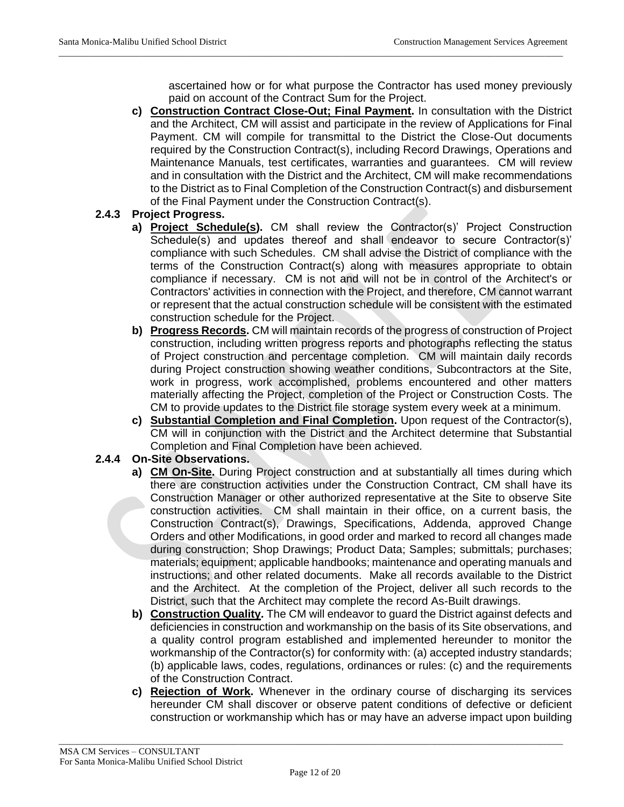ascertained how or for what purpose the Contractor has used money previously paid on account of the Contract Sum for the Project.

**c) Construction Contract Close-Out; Final Payment.** In consultation with the District and the Architect, CM will assist and participate in the review of Applications for Final Payment. CM will compile for transmittal to the District the Close-Out documents required by the Construction Contract(s), including Record Drawings, Operations and Maintenance Manuals, test certificates, warranties and guarantees. CM will review and in consultation with the District and the Architect, CM will make recommendations to the District as to Final Completion of the Construction Contract(s) and disbursement of the Final Payment under the Construction Contract(s).

\_\_\_\_\_\_\_\_\_\_\_\_\_\_\_\_\_\_\_\_\_\_\_\_\_\_\_\_\_\_\_\_\_\_\_\_\_\_\_\_\_\_\_\_\_\_\_\_\_\_\_\_\_\_\_\_\_\_\_\_\_\_\_\_\_\_\_\_\_\_\_\_\_\_\_\_\_\_\_\_\_\_\_\_\_\_\_\_\_\_\_\_\_\_\_\_\_\_\_\_\_\_\_\_\_\_\_\_\_\_

## **2.4.3 Project Progress.**

- **a) Project Schedule(s).** CM shall review the Contractor(s)' Project Construction Schedule(s) and updates thereof and shall endeavor to secure Contractor(s)' compliance with such Schedules. CM shall advise the District of compliance with the terms of the Construction Contract(s) along with measures appropriate to obtain compliance if necessary. CM is not and will not be in control of the Architect's or Contractors' activities in connection with the Project, and therefore, CM cannot warrant or represent that the actual construction schedule will be consistent with the estimated construction schedule for the Project.
- **b) Progress Records.** CM will maintain records of the progress of construction of Project construction, including written progress reports and photographs reflecting the status of Project construction and percentage completion. CM will maintain daily records during Project construction showing weather conditions, Subcontractors at the Site, work in progress, work accomplished, problems encountered and other matters materially affecting the Project, completion of the Project or Construction Costs. The CM to provide updates to the District file storage system every week at a minimum.
- **c) Substantial Completion and Final Completion.** Upon request of the Contractor(s), CM will in conjunction with the District and the Architect determine that Substantial Completion and Final Completion have been achieved.

## **2.4.4 On-Site Observations.**

- **a) CM On-Site.** During Project construction and at substantially all times during which there are construction activities under the Construction Contract, CM shall have its Construction Manager or other authorized representative at the Site to observe Site construction activities. CM shall maintain in their office, on a current basis, the Construction Contract(s), Drawings, Specifications, Addenda, approved Change Orders and other Modifications, in good order and marked to record all changes made during construction; Shop Drawings; Product Data; Samples; submittals; purchases; materials; equipment; applicable handbooks; maintenance and operating manuals and instructions; and other related documents. Make all records available to the District and the Architect. At the completion of the Project, deliver all such records to the District, such that the Architect may complete the record As-Built drawings.
- **b) Construction Quality.** The CM will endeavor to guard the District against defects and deficiencies in construction and workmanship on the basis of its Site observations, and a quality control program established and implemented hereunder to monitor the workmanship of the Contractor(s) for conformity with: (a) accepted industry standards; (b) applicable laws, codes, regulations, ordinances or rules: (c) and the requirements of the Construction Contract.
- **c) Rejection of Work.** Whenever in the ordinary course of discharging its services hereunder CM shall discover or observe patent conditions of defective or deficient construction or workmanship which has or may have an adverse impact upon building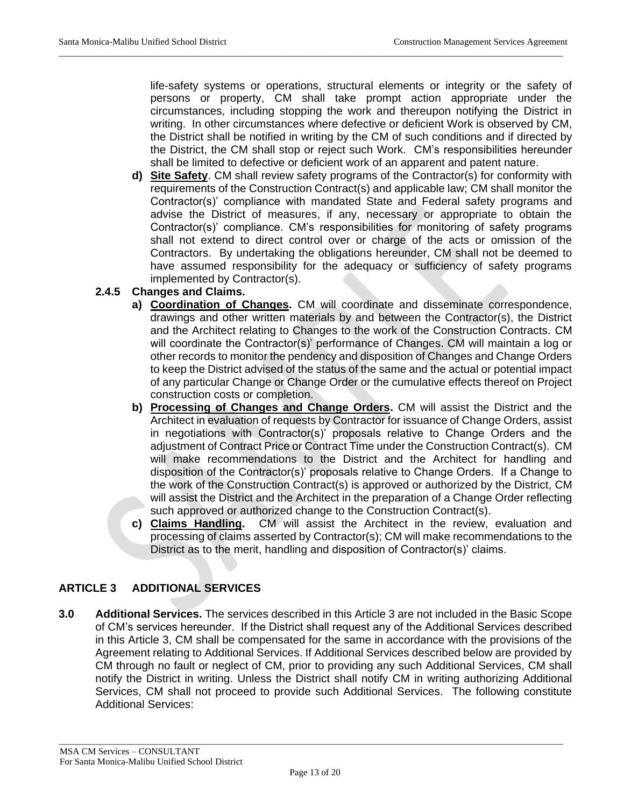life-safety systems or operations, structural elements or integrity or the safety of persons or property, CM shall take prompt action appropriate under the circumstances, including stopping the work and thereupon notifying the District in writing. In other circumstances where defective or deficient Work is observed by CM, the District shall be notified in writing by the CM of such conditions and if directed by the District, the CM shall stop or reject such Work. CM's responsibilities hereunder shall be limited to defective or deficient work of an apparent and patent nature.

\_\_\_\_\_\_\_\_\_\_\_\_\_\_\_\_\_\_\_\_\_\_\_\_\_\_\_\_\_\_\_\_\_\_\_\_\_\_\_\_\_\_\_\_\_\_\_\_\_\_\_\_\_\_\_\_\_\_\_\_\_\_\_\_\_\_\_\_\_\_\_\_\_\_\_\_\_\_\_\_\_\_\_\_\_\_\_\_\_\_\_\_\_\_\_\_\_\_\_\_\_\_\_\_\_\_\_\_\_\_

**d) Site Safety**. CM shall review safety programs of the Contractor(s) for conformity with requirements of the Construction Contract(s) and applicable law; CM shall monitor the Contractor(s)' compliance with mandated State and Federal safety programs and advise the District of measures, if any, necessary or appropriate to obtain the Contractor(s)' compliance. CM's responsibilities for monitoring of safety programs shall not extend to direct control over or charge of the acts or omission of the Contractors. By undertaking the obligations hereunder, CM shall not be deemed to have assumed responsibility for the adequacy or sufficiency of safety programs implemented by Contractor(s).

### **2.4.5 Changes and Claims.**

- **a) Coordination of Changes.** CM will coordinate and disseminate correspondence, drawings and other written materials by and between the Contractor(s), the District and the Architect relating to Changes to the work of the Construction Contracts. CM will coordinate the Contractor(s)' performance of Changes. CM will maintain a log or other records to monitor the pendency and disposition of Changes and Change Orders to keep the District advised of the status of the same and the actual or potential impact of any particular Change or Change Order or the cumulative effects thereof on Project construction costs or completion.
- **b) Processing of Changes and Change Orders.** CM will assist the District and the Architect in evaluation of requests by Contractor for issuance of Change Orders, assist in negotiations with Contractor(s)' proposals relative to Change Orders and the adjustment of Contract Price or Contract Time under the Construction Contract(s). CM will make recommendations to the District and the Architect for handling and disposition of the Contractor(s)' proposals relative to Change Orders. If a Change to the work of the Construction Contract(s) is approved or authorized by the District, CM will assist the District and the Architect in the preparation of a Change Order reflecting such approved or authorized change to the Construction Contract(s).
- **c) Claims Handling.** CM will assist the Architect in the review, evaluation and processing of claims asserted by Contractor(s); CM will make recommendations to the District as to the merit, handling and disposition of Contractor(s)' claims.

## **ARTICLE 3 ADDITIONAL SERVICES**

**3.0 Additional Services.** The services described in this Article 3 are not included in the Basic Scope of CM's services hereunder. If the District shall request any of the Additional Services described in this Article 3, CM shall be compensated for the same in accordance with the provisions of the Agreement relating to Additional Services. If Additional Services described below are provided by CM through no fault or neglect of CM, prior to providing any such Additional Services, CM shall notify the District in writing. Unless the District shall notify CM in writing authorizing Additional Services, CM shall not proceed to provide such Additional Services. The following constitute Additional Services: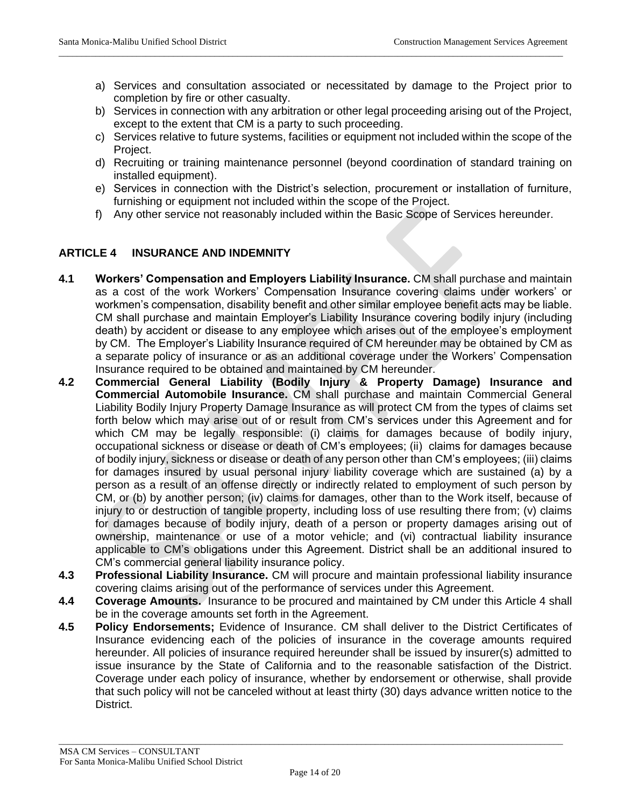a) Services and consultation associated or necessitated by damage to the Project prior to completion by fire or other casualty.

\_\_\_\_\_\_\_\_\_\_\_\_\_\_\_\_\_\_\_\_\_\_\_\_\_\_\_\_\_\_\_\_\_\_\_\_\_\_\_\_\_\_\_\_\_\_\_\_\_\_\_\_\_\_\_\_\_\_\_\_\_\_\_\_\_\_\_\_\_\_\_\_\_\_\_\_\_\_\_\_\_\_\_\_\_\_\_\_\_\_\_\_\_\_\_\_\_\_\_\_\_\_\_\_\_\_\_\_\_\_

- b) Services in connection with any arbitration or other legal proceeding arising out of the Project, except to the extent that CM is a party to such proceeding.
- c) Services relative to future systems, facilities or equipment not included within the scope of the Project.
- d) Recruiting or training maintenance personnel (beyond coordination of standard training on installed equipment).
- e) Services in connection with the District's selection, procurement or installation of furniture, furnishing or equipment not included within the scope of the Project.
- f) Any other service not reasonably included within the Basic Scope of Services hereunder.

### **ARTICLE 4 INSURANCE AND INDEMNITY**

- **4.1 Workers' Compensation and Employers Liability Insurance.** CM shall purchase and maintain as a cost of the work Workers' Compensation Insurance covering claims under workers' or workmen's compensation, disability benefit and other similar employee benefit acts may be liable. CM shall purchase and maintain Employer's Liability Insurance covering bodily injury (including death) by accident or disease to any employee which arises out of the employee's employment by CM. The Employer's Liability Insurance required of CM hereunder may be obtained by CM as a separate policy of insurance or as an additional coverage under the Workers' Compensation Insurance required to be obtained and maintained by CM hereunder.
- **4.2 Commercial General Liability (Bodily Injury & Property Damage) Insurance and Commercial Automobile Insurance.** CM shall purchase and maintain Commercial General Liability Bodily Injury Property Damage Insurance as will protect CM from the types of claims set forth below which may arise out of or result from CM's services under this Agreement and for which CM may be legally responsible: (i) claims for damages because of bodily injury, occupational sickness or disease or death of CM's employees; (ii) claims for damages because of bodily injury, sickness or disease or death of any person other than CM's employees; (iii) claims for damages insured by usual personal injury liability coverage which are sustained (a) by a person as a result of an offense directly or indirectly related to employment of such person by CM, or (b) by another person; (iv) claims for damages, other than to the Work itself, because of injury to or destruction of tangible property, including loss of use resulting there from; (v) claims for damages because of bodily injury, death of a person or property damages arising out of ownership, maintenance or use of a motor vehicle; and (vi) contractual liability insurance applicable to CM's obligations under this Agreement. District shall be an additional insured to CM's commercial general liability insurance policy.
- **4.3 Professional Liability Insurance.** CM will procure and maintain professional liability insurance covering claims arising out of the performance of services under this Agreement.
- **4.4 Coverage Amounts.** Insurance to be procured and maintained by CM under this Article 4 shall be in the coverage amounts set forth in the Agreement.
- **4.5 Policy Endorsements;** Evidence of Insurance. CM shall deliver to the District Certificates of Insurance evidencing each of the policies of insurance in the coverage amounts required hereunder. All policies of insurance required hereunder shall be issued by insurer(s) admitted to issue insurance by the State of California and to the reasonable satisfaction of the District. Coverage under each policy of insurance, whether by endorsement or otherwise, shall provide that such policy will not be canceled without at least thirty (30) days advance written notice to the District.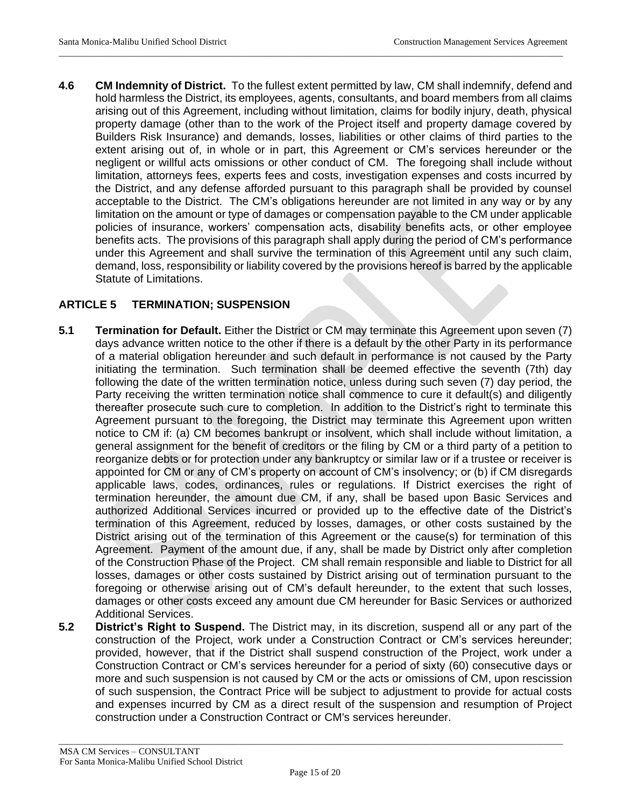**4.6 CM Indemnity of District.** To the fullest extent permitted by law, CM shall indemnify, defend and hold harmless the District, its employees, agents, consultants, and board members from all claims arising out of this Agreement, including without limitation, claims for bodily injury, death, physical property damage (other than to the work of the Project itself and property damage covered by Builders Risk Insurance) and demands, losses, liabilities or other claims of third parties to the extent arising out of, in whole or in part, this Agreement or CM's services hereunder or the negligent or willful acts omissions or other conduct of CM. The foregoing shall include without limitation, attorneys fees, experts fees and costs, investigation expenses and costs incurred by the District, and any defense afforded pursuant to this paragraph shall be provided by counsel acceptable to the District. The CM's obligations hereunder are not limited in any way or by any limitation on the amount or type of damages or compensation payable to the CM under applicable policies of insurance, workers' compensation acts, disability benefits acts, or other employee benefits acts. The provisions of this paragraph shall apply during the period of CM's performance under this Agreement and shall survive the termination of this Agreement until any such claim, demand, loss, responsibility or liability covered by the provisions hereof is barred by the applicable Statute of Limitations.

\_\_\_\_\_\_\_\_\_\_\_\_\_\_\_\_\_\_\_\_\_\_\_\_\_\_\_\_\_\_\_\_\_\_\_\_\_\_\_\_\_\_\_\_\_\_\_\_\_\_\_\_\_\_\_\_\_\_\_\_\_\_\_\_\_\_\_\_\_\_\_\_\_\_\_\_\_\_\_\_\_\_\_\_\_\_\_\_\_\_\_\_\_\_\_\_\_\_\_\_\_\_\_\_\_\_\_\_\_\_

### **ARTICLE 5 TERMINATION; SUSPENSION**

- **5.1 Termination for Default.** Either the District or CM may terminate this Agreement upon seven (7) days advance written notice to the other if there is a default by the other Party in its performance of a material obligation hereunder and such default in performance is not caused by the Party initiating the termination. Such termination shall be deemed effective the seventh (7th) day following the date of the written termination notice, unless during such seven (7) day period, the Party receiving the written termination notice shall commence to cure it default(s) and diligently thereafter prosecute such cure to completion. In addition to the District's right to terminate this Agreement pursuant to the foregoing, the District may terminate this Agreement upon written notice to CM if: (a) CM becomes bankrupt or insolvent, which shall include without limitation, a general assignment for the benefit of creditors or the filing by CM or a third party of a petition to reorganize debts or for protection under any bankruptcy or similar law or if a trustee or receiver is appointed for CM or any of CM's property on account of CM's insolvency; or (b) if CM disregards applicable laws, codes, ordinances, rules or regulations. If District exercises the right of termination hereunder, the amount due CM, if any, shall be based upon Basic Services and authorized Additional Services incurred or provided up to the effective date of the District's termination of this Agreement, reduced by losses, damages, or other costs sustained by the District arising out of the termination of this Agreement or the cause(s) for termination of this Agreement. Payment of the amount due, if any, shall be made by District only after completion of the Construction Phase of the Project. CM shall remain responsible and liable to District for all losses, damages or other costs sustained by District arising out of termination pursuant to the foregoing or otherwise arising out of CM's default hereunder, to the extent that such losses, damages or other costs exceed any amount due CM hereunder for Basic Services or authorized Additional Services.
- **5.2 District's Right to Suspend.** The District may, in its discretion, suspend all or any part of the construction of the Project, work under a Construction Contract or CM's services hereunder; provided, however, that if the District shall suspend construction of the Project, work under a Construction Contract or CM's services hereunder for a period of sixty (60) consecutive days or more and such suspension is not caused by CM or the acts or omissions of CM, upon rescission of such suspension, the Contract Price will be subject to adjustment to provide for actual costs and expenses incurred by CM as a direct result of the suspension and resumption of Project construction under a Construction Contract or CM's services hereunder.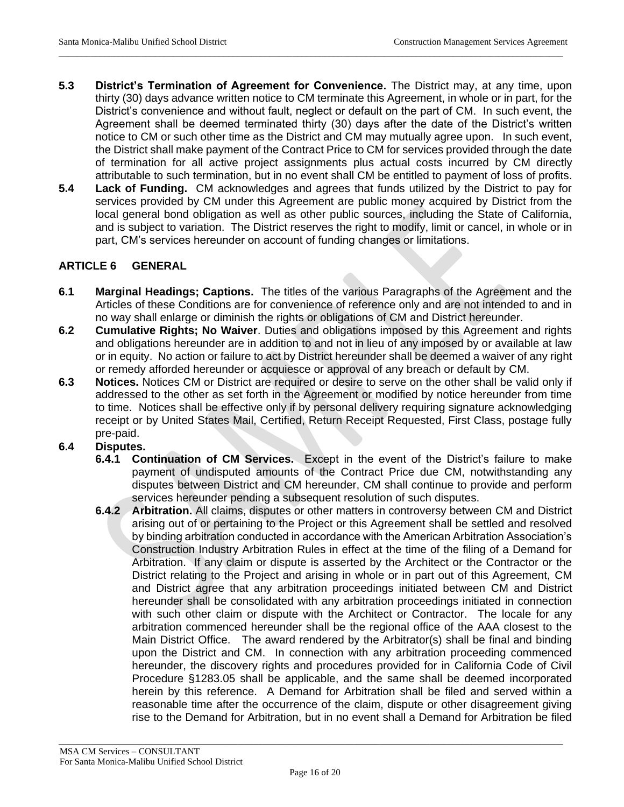**5.3 District's Termination of Agreement for Convenience.** The District may, at any time, upon thirty (30) days advance written notice to CM terminate this Agreement, in whole or in part, for the District's convenience and without fault, neglect or default on the part of CM. In such event, the Agreement shall be deemed terminated thirty (30) days after the date of the District's written notice to CM or such other time as the District and CM may mutually agree upon. In such event, the District shall make payment of the Contract Price to CM for services provided through the date of termination for all active project assignments plus actual costs incurred by CM directly attributable to such termination, but in no event shall CM be entitled to payment of loss of profits.

\_\_\_\_\_\_\_\_\_\_\_\_\_\_\_\_\_\_\_\_\_\_\_\_\_\_\_\_\_\_\_\_\_\_\_\_\_\_\_\_\_\_\_\_\_\_\_\_\_\_\_\_\_\_\_\_\_\_\_\_\_\_\_\_\_\_\_\_\_\_\_\_\_\_\_\_\_\_\_\_\_\_\_\_\_\_\_\_\_\_\_\_\_\_\_\_\_\_\_\_\_\_\_\_\_\_\_\_\_\_

**5.4 Lack of Funding.** CM acknowledges and agrees that funds utilized by the District to pay for services provided by CM under this Agreement are public money acquired by District from the local general bond obligation as well as other public sources, including the State of California, and is subject to variation. The District reserves the right to modify, limit or cancel, in whole or in part, CM's services hereunder on account of funding changes or limitations.

## **ARTICLE 6 GENERAL**

- **6.1 Marginal Headings; Captions.** The titles of the various Paragraphs of the Agreement and the Articles of these Conditions are for convenience of reference only and are not intended to and in no way shall enlarge or diminish the rights or obligations of CM and District hereunder.
- **6.2 Cumulative Rights; No Waiver**. Duties and obligations imposed by this Agreement and rights and obligations hereunder are in addition to and not in lieu of any imposed by or available at law or in equity. No action or failure to act by District hereunder shall be deemed a waiver of any right or remedy afforded hereunder or acquiesce or approval of any breach or default by CM.
- **6.3 Notices.** Notices CM or District are required or desire to serve on the other shall be valid only if addressed to the other as set forth in the Agreement or modified by notice hereunder from time to time. Notices shall be effective only if by personal delivery requiring signature acknowledging receipt or by United States Mail, Certified, Return Receipt Requested, First Class, postage fully pre-paid.
- **6.4 Disputes.**
	- **6.4.1 Continuation of CM Services.** Except in the event of the District's failure to make payment of undisputed amounts of the Contract Price due CM, notwithstanding any disputes between District and CM hereunder, CM shall continue to provide and perform services hereunder pending a subsequent resolution of such disputes.
	- **6.4.2 Arbitration.** All claims, disputes or other matters in controversy between CM and District arising out of or pertaining to the Project or this Agreement shall be settled and resolved by binding arbitration conducted in accordance with the American Arbitration Association's Construction Industry Arbitration Rules in effect at the time of the filing of a Demand for Arbitration. If any claim or dispute is asserted by the Architect or the Contractor or the District relating to the Project and arising in whole or in part out of this Agreement, CM and District agree that any arbitration proceedings initiated between CM and District hereunder shall be consolidated with any arbitration proceedings initiated in connection with such other claim or dispute with the Architect or Contractor. The locale for any arbitration commenced hereunder shall be the regional office of the AAA closest to the Main District Office. The award rendered by the Arbitrator(s) shall be final and binding upon the District and CM. In connection with any arbitration proceeding commenced hereunder, the discovery rights and procedures provided for in California Code of Civil Procedure §1283.05 shall be applicable, and the same shall be deemed incorporated herein by this reference. A Demand for Arbitration shall be filed and served within a reasonable time after the occurrence of the claim, dispute or other disagreement giving rise to the Demand for Arbitration, but in no event shall a Demand for Arbitration be filed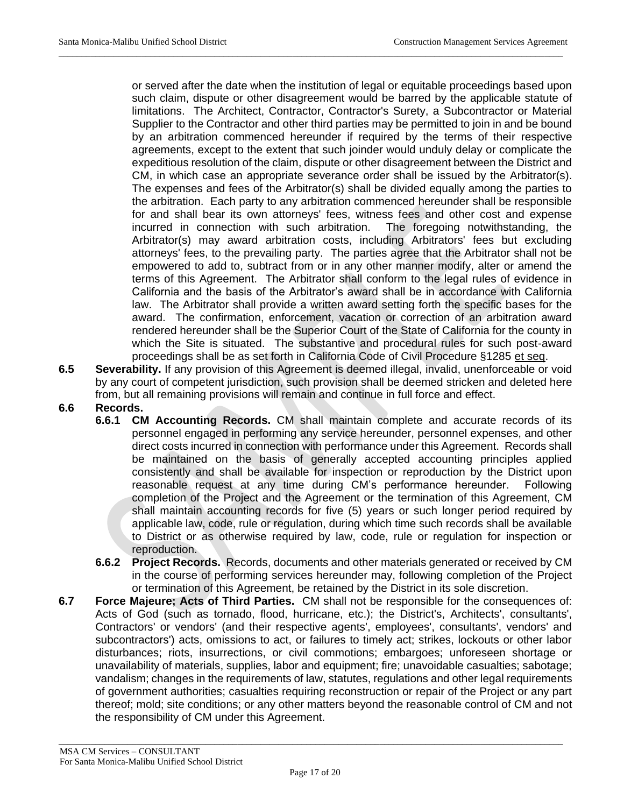or served after the date when the institution of legal or equitable proceedings based upon such claim, dispute or other disagreement would be barred by the applicable statute of limitations. The Architect, Contractor, Contractor's Surety, a Subcontractor or Material Supplier to the Contractor and other third parties may be permitted to join in and be bound by an arbitration commenced hereunder if required by the terms of their respective agreements, except to the extent that such joinder would unduly delay or complicate the expeditious resolution of the claim, dispute or other disagreement between the District and CM, in which case an appropriate severance order shall be issued by the Arbitrator(s). The expenses and fees of the Arbitrator(s) shall be divided equally among the parties to the arbitration. Each party to any arbitration commenced hereunder shall be responsible for and shall bear its own attorneys' fees, witness fees and other cost and expense incurred in connection with such arbitration. The foregoing notwithstanding, the Arbitrator(s) may award arbitration costs, including Arbitrators' fees but excluding attorneys' fees, to the prevailing party. The parties agree that the Arbitrator shall not be empowered to add to, subtract from or in any other manner modify, alter or amend the terms of this Agreement. The Arbitrator shall conform to the legal rules of evidence in California and the basis of the Arbitrator's award shall be in accordance with California law. The Arbitrator shall provide a written award setting forth the specific bases for the award. The confirmation, enforcement, vacation or correction of an arbitration award rendered hereunder shall be the Superior Court of the State of California for the county in which the Site is situated. The substantive and procedural rules for such post-award proceedings shall be as set forth in California Code of Civil Procedure §1285 et seq.

**6.5 Severability.** If any provision of this Agreement is deemed illegal, invalid, unenforceable or void by any court of competent jurisdiction, such provision shall be deemed stricken and deleted here from, but all remaining provisions will remain and continue in full force and effect.

\_\_\_\_\_\_\_\_\_\_\_\_\_\_\_\_\_\_\_\_\_\_\_\_\_\_\_\_\_\_\_\_\_\_\_\_\_\_\_\_\_\_\_\_\_\_\_\_\_\_\_\_\_\_\_\_\_\_\_\_\_\_\_\_\_\_\_\_\_\_\_\_\_\_\_\_\_\_\_\_\_\_\_\_\_\_\_\_\_\_\_\_\_\_\_\_\_\_\_\_\_\_\_\_\_\_\_\_\_\_

- **6.6 Records.**
	- **6.6.1 CM Accounting Records.** CM shall maintain complete and accurate records of its personnel engaged in performing any service hereunder, personnel expenses, and other direct costs incurred in connection with performance under this Agreement. Records shall be maintained on the basis of generally accepted accounting principles applied consistently and shall be available for inspection or reproduction by the District upon reasonable request at any time during CM's performance hereunder. Following completion of the Project and the Agreement or the termination of this Agreement, CM shall maintain accounting records for five (5) years or such longer period required by applicable law, code, rule or regulation, during which time such records shall be available to District or as otherwise required by law, code, rule or regulation for inspection or reproduction.
	- **6.6.2 Project Records.** Records, documents and other materials generated or received by CM in the course of performing services hereunder may, following completion of the Project or termination of this Agreement, be retained by the District in its sole discretion.
- **6.7 Force Majeure; Acts of Third Parties.** CM shall not be responsible for the consequences of: Acts of God (such as tornado, flood, hurricane, etc.); the District's, Architects', consultants', Contractors' or vendors' (and their respective agents', employees', consultants', vendors' and subcontractors') acts, omissions to act, or failures to timely act; strikes, lockouts or other labor disturbances; riots, insurrections, or civil commotions; embargoes; unforeseen shortage or unavailability of materials, supplies, labor and equipment; fire; unavoidable casualties; sabotage; vandalism; changes in the requirements of law, statutes, regulations and other legal requirements of government authorities; casualties requiring reconstruction or repair of the Project or any part thereof; mold; site conditions; or any other matters beyond the reasonable control of CM and not the responsibility of CM under this Agreement.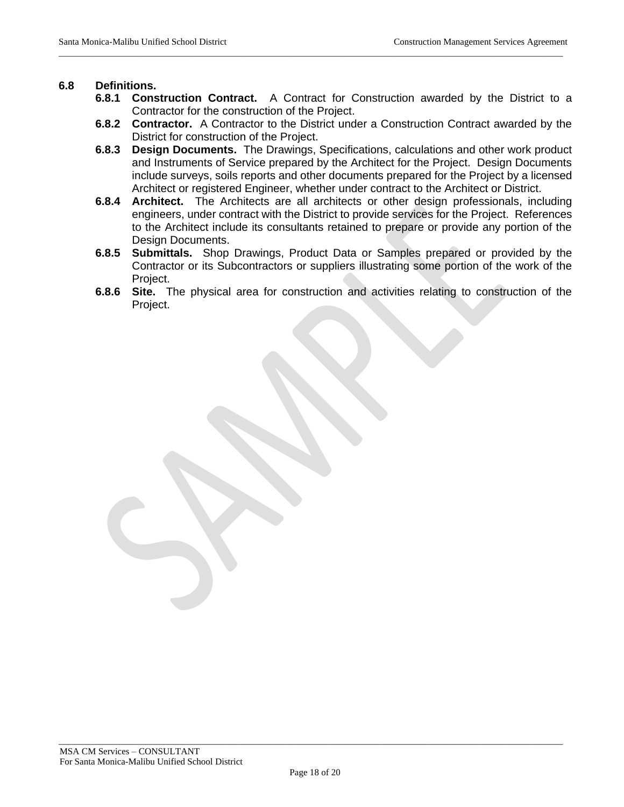#### **6.8 Definitions.**

**6.8.1 Construction Contract.** A Contract for Construction awarded by the District to a Contractor for the construction of the Project.

\_\_\_\_\_\_\_\_\_\_\_\_\_\_\_\_\_\_\_\_\_\_\_\_\_\_\_\_\_\_\_\_\_\_\_\_\_\_\_\_\_\_\_\_\_\_\_\_\_\_\_\_\_\_\_\_\_\_\_\_\_\_\_\_\_\_\_\_\_\_\_\_\_\_\_\_\_\_\_\_\_\_\_\_\_\_\_\_\_\_\_\_\_\_\_\_\_\_\_\_\_\_\_\_\_\_\_\_\_\_

- **6.8.2 Contractor.** A Contractor to the District under a Construction Contract awarded by the District for construction of the Project.
- **6.8.3 Design Documents.** The Drawings, Specifications, calculations and other work product and Instruments of Service prepared by the Architect for the Project. Design Documents include surveys, soils reports and other documents prepared for the Project by a licensed Architect or registered Engineer, whether under contract to the Architect or District.
- **6.8.4 Architect.** The Architects are all architects or other design professionals, including engineers, under contract with the District to provide services for the Project. References to the Architect include its consultants retained to prepare or provide any portion of the Design Documents.
- **6.8.5 Submittals.** Shop Drawings, Product Data or Samples prepared or provided by the Contractor or its Subcontractors or suppliers illustrating some portion of the work of the Project.
- **6.8.6 Site.** The physical area for construction and activities relating to construction of the Project.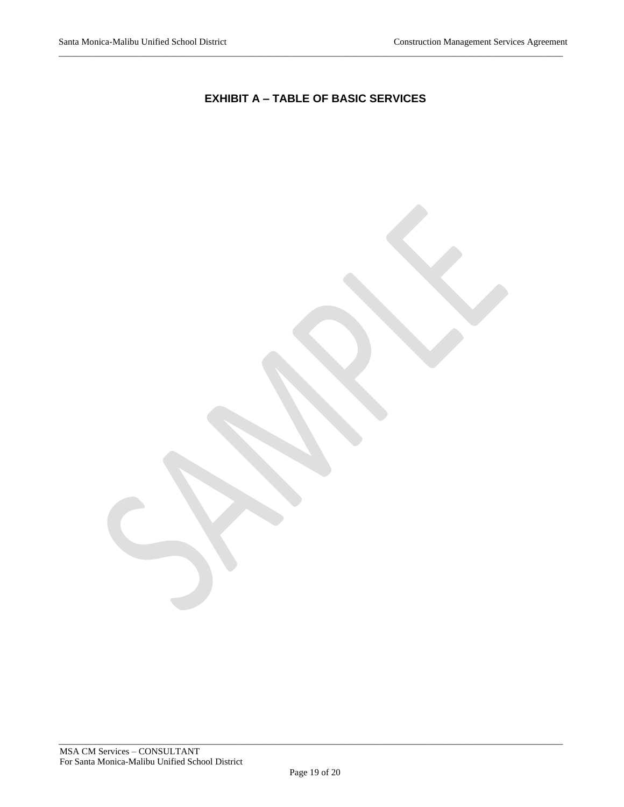## **EXHIBIT A – TABLE OF BASIC SERVICES**

\_\_\_\_\_\_\_\_\_\_\_\_\_\_\_\_\_\_\_\_\_\_\_\_\_\_\_\_\_\_\_\_\_\_\_\_\_\_\_\_\_\_\_\_\_\_\_\_\_\_\_\_\_\_\_\_\_\_\_\_\_\_\_\_\_\_\_\_\_\_\_\_\_\_\_\_\_\_\_\_\_\_\_\_\_\_\_\_\_\_\_\_\_\_\_\_\_\_\_\_\_\_\_\_\_\_\_\_\_\_